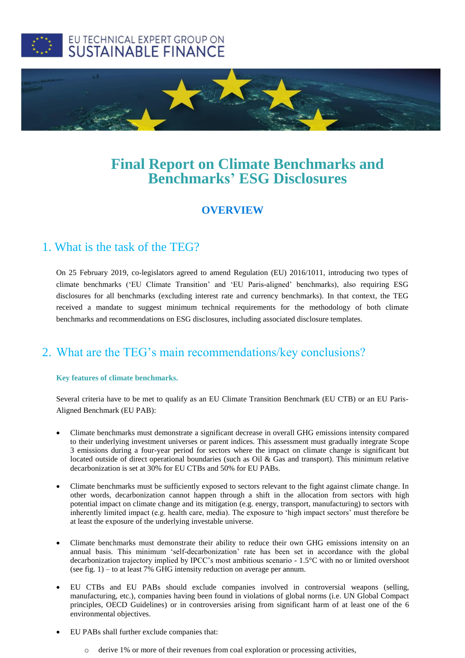



# **Final Report on Climate Benchmarks and Benchmarks' ESG Disclosures**

### **OVERVIEW**

## 1. What is the task of the TEG?

On 25 February 2019, co-legislators agreed to amend Regulation (EU) 2016/1011, introducing two types of climate benchmarks ('EU Climate Transition' and 'EU Paris-aligned' benchmarks), also requiring ESG disclosures for all benchmarks (excluding interest rate and currency benchmarks). In that context, the TEG received a mandate to suggest minimum technical requirements for the methodology of both climate benchmarks and recommendations on ESG disclosures, including associated disclosure templates.

# 2. What are the TEG's main recommendations/key conclusions?

### **Key features of climate benchmarks.**

Several criteria have to be met to qualify as an EU Climate Transition Benchmark (EU CTB) or an EU Paris-Aligned Benchmark (EU PAB):

- Climate benchmarks must demonstrate a significant decrease in overall GHG emissions intensity compared to their underlying investment universes or parent indices. This assessment must gradually integrate Scope 3 emissions during a four-year period for sectors where the impact on climate change is significant but located outside of direct operational boundaries (such as Oil & Gas and transport). This minimum relative decarbonization is set at 30% for EU CTBs and 50% for EU PABs.
- Climate benchmarks must be sufficiently exposed to sectors relevant to the fight against climate change. In other words, decarbonization cannot happen through a shift in the allocation from sectors with high potential impact on climate change and its mitigation (e.g. energy, transport, manufacturing) to sectors with inherently limited impact (e.g. health care, media). The exposure to 'high impact sectors' must therefore be at least the exposure of the underlying investable universe.
- Climate benchmarks must demonstrate their ability to reduce their own GHG emissions intensity on an annual basis. This minimum 'self-decarbonization' rate has been set in accordance with the global decarbonization trajectory implied by IPCC's most ambitious scenario - 1.5°C with no or limited overshoot (see fig.  $1$ ) – to at least 7% GHG intensity reduction on average per annum.
- EU CTBs and EU PABs should exclude companies involved in controversial weapons (selling, manufacturing, etc.), companies having been found in violations of global norms (i.e. UN Global Compact principles, OECD Guidelines) or in controversies arising from significant harm of at least one of the 6 environmental objectives.
- EU PABs shall further exclude companies that:
	- o derive 1% or more of their revenues from coal exploration or processing activities,